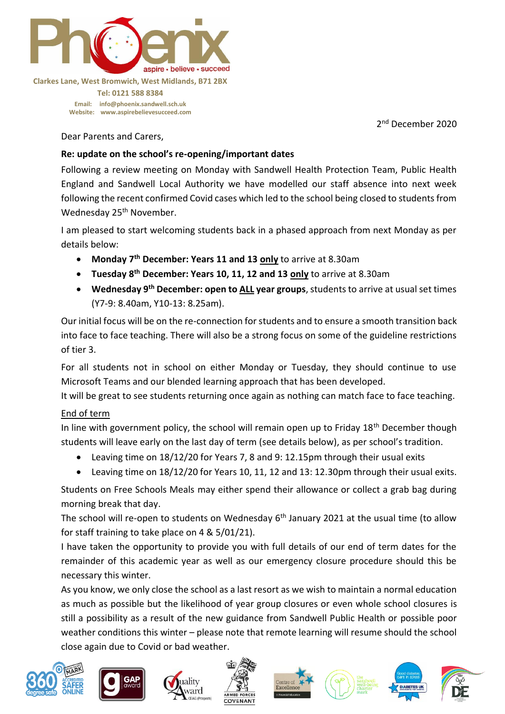

#### **Clarkes Lane, West Bromwich, West Midlands, B71 2BX**

**Tel: 0121 588 8384 Email: [info@phoenix.sandwell.sch.uk](mailto:info@phoenix.sandwell.sch.uk) Website: www.aspirebelievesucceed.com**

2<sup>nd</sup> December 2020

Dear Parents and Carers,

## **Re: update on the school's re-opening/important dates**

Following a review meeting on Monday with Sandwell Health Protection Team, Public Health England and Sandwell Local Authority we have modelled our staff absence into next week following the recent confirmed Covid cases which led to the school being closed to students from Wednesday 25<sup>th</sup> November.

I am pleased to start welcoming students back in a phased approach from next Monday as per details below:

- **Monday 7th December: Years 11 and 13 only** to arrive at 8.30am
- **Tuesday 8th December: Years 10, 11, 12 and 13 only** to arrive at 8.30am
- **Wednesday 9th December: open to ALL year groups**, students to arrive at usual set times (Y7-9: 8.40am, Y10-13: 8.25am).

Our initial focus will be on the re-connection for students and to ensure a smooth transition back into face to face teaching. There will also be a strong focus on some of the guideline restrictions of tier 3.

For all students not in school on either Monday or Tuesday, they should continue to use Microsoft Teams and our blended learning approach that has been developed.

It will be great to see students returning once again as nothing can match face to face teaching.

# End of term

In line with government policy, the school will remain open up to Friday 18<sup>th</sup> December though students will leave early on the last day of term (see details below), as per school's tradition.

- Leaving time on 18/12/20 for Years 7, 8 and 9: 12.15pm through their usual exits
- Leaving time on 18/12/20 for Years 10, 11, 12 and 13: 12.30pm through their usual exits.

Students on Free Schools Meals may either spend their allowance or collect a grab bag during morning break that day.

The school will re-open to students on Wednesday  $6<sup>th</sup>$  January 2021 at the usual time (to allow for staff training to take place on 4 & 5/01/21).

I have taken the opportunity to provide you with full details of our end of term dates for the remainder of this academic year as well as our emergency closure procedure should this be necessary this winter.

As you know, we only close the school as a last resort as we wish to maintain a normal education as much as possible but the likelihood of year group closures or even whole school closures is still a possibility as a result of the new guidance from Sandwell Public Health or possible poor weather conditions this winter – please note that remote learning will resume should the school close again due to Covid or bad weather.













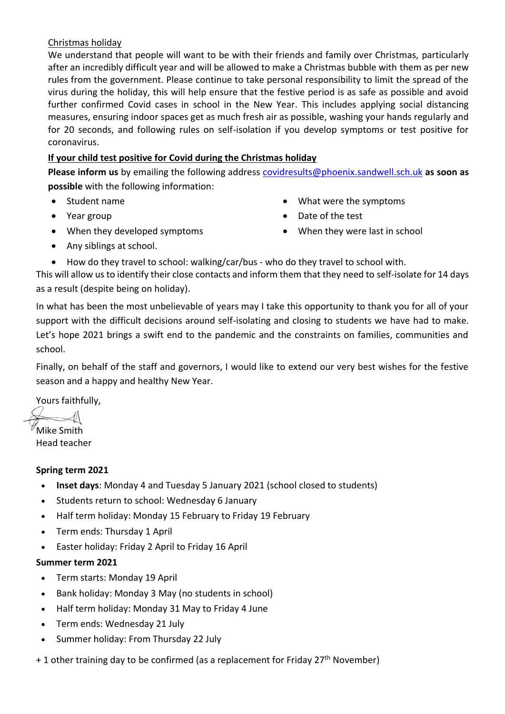## Christmas holiday

We understand that people will want to be with their friends and family over Christmas, particularly after an incredibly difficult year and will be allowed to make a Christmas bubble with them as per new rules from the government. Please continue to take personal responsibility to limit the spread of the virus during the holiday, this will help ensure that the festive period is as safe as possible and avoid further confirmed Covid cases in school in the New Year. This includes applying social distancing measures, ensuring indoor spaces get as much fresh air as possible, washing your hands regularly and for 20 seconds, and following rules on self-isolation if you develop symptoms or test positive for coronavirus.

# **If your child test positive for Covid during the Christmas holiday**

**Please inform us** by emailing the following address [covidresults@phoenix.sandwell.sch.uk](mailto:covidresults@phoenix.sandwell.sch.uk) **as soon as possible** with the following information:

- Student name
- Year group
- What were the symptoms
- Date of the test
- When they were last in school

• Any siblings at school.

• When they developed symptoms

How do they travel to school: walking/car/bus - who do they travel to school with.

This will allow us to identify their close contacts and inform them that they need to self-isolate for 14 days as a result (despite being on holiday).

In what has been the most unbelievable of years may I take this opportunity to thank you for all of your support with the difficult decisions around self-isolating and closing to students we have had to make. Let's hope 2021 brings a swift end to the pandemic and the constraints on families, communities and school.

Finally, on behalf of the staff and governors, I would like to extend our very best wishes for the festive season and a happy and healthy New Year.

Yours faithfully,

Mike Smith Head teacher

# **Spring term 2021**

- **Inset days**: Monday 4 and Tuesday 5 January 2021 (school closed to students)
- Students return to school: Wednesday 6 January
- Half term holiday: Monday 15 February to Friday 19 February
- Term ends: Thursday 1 April
- Easter holiday: Friday 2 April to Friday 16 April

# **Summer term 2021**

- Term starts: Monday 19 April
- Bank holiday: Monday 3 May (no students in school)
- Half term holiday: Monday 31 May to Friday 4 June
- Term ends: Wednesday 21 July
- Summer holiday: From Thursday 22 July
- + 1 other training day to be confirmed (as a replacement for Friday 27<sup>th</sup> November)